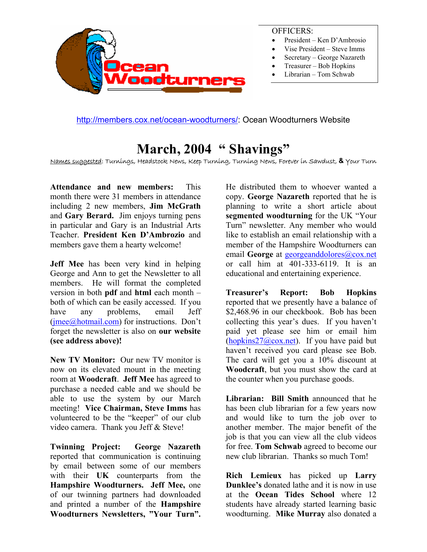

#### OFFICERS:

- President Ken D'Ambrosio
- Vise President Steve Imms
- Secretary George Nazareth
- Treasurer Bob Hopkins
- Librarian Tom Schwab

<http://members.cox.net/ocean-woodturners/>: Ocean Woodturners Website

### **March, 2004 " Shavings"**

Names suggested: Turnings, Headstock News, Keep Turning, Turning News, Forever in Sawdust, **&** Your Turn

**Attendance and new members:** This month there were 31 members in attendance including 2 new members, **Jim McGrath** and **Gary Berard.** Jim enjoys turning pens in particular and Gary is an Industrial Arts Teacher. **President Ken D'Ambrozio** and members gave them a hearty welcome!

**Jeff Mee** has been very kind in helping George and Ann to get the Newsletter to all members. He will format the completed version in both **pdf** and **html** each month – both of which can be easily accessed. If you have any problems, email Jeff ([jmee@hotmail.com\)](mailto:jmee@hotmail.com) for instructions. Don't forget the newsletter is also on **our website (see address above)!**

**New TV Monitor:** Our new TV monitor is now on its elevated mount in the meeting room at **Woodcraft**. **Jeff Mee** has agreed to purchase a needed cable and we should be able to use the system by our March meeting! **Vice Chairman, Steve Imms** has volunteered to be the "keeper" of our club video camera. Thank you Jeff & Steve!

**Twinning Project: George Nazareth**  reported that communication is continuing by email between some of our members with their **UK** counterparts from the **Hampshire Woodturners. Jeff Mee,** one of our twinning partners had downloaded and printed a number of the **Hampshire Woodturners Newsletters, "Your Turn".**

He distributed them to whoever wanted a copy. **George Nazareth** reported that he is planning to write a short article about **segmented woodturning** for the UK "Your Turn" newsletter. Any member who would like to establish an email relationship with a member of the Hampshire Woodturners can email **George** at [georgeanddolores@cox.net](mailto:georgeanddolores@cox.net) or call him at 401-333-6119. It is an educational and entertaining experience.

**Treasurer's Report: Bob Hopkins** reported that we presently have a balance of \$2,468.96 in our checkbook. Bob has been collecting this year's dues. If you haven't paid yet please see him or email him (hopkins $27$ @cox.net). If you have paid but haven't received you card please see Bob. The card will get you a 10% discount at **Woodcraft**, but you must show the card at the counter when you purchase goods.

**Librarian: Bill Smith** announced that he has been club librarian for a few years now and would like to turn the job over to another member. The major benefit of the job is that you can view all the club videos for free. **Tom Schwab** agreed to become our new club librarian. Thanks so much Tom!

**Rich Lemieux** has picked up **Larry Dunklee's** donated lathe and it is now in use at the **Ocean Tides School** where 12 students have already started learning basic woodturning. **Mike Murray** also donated a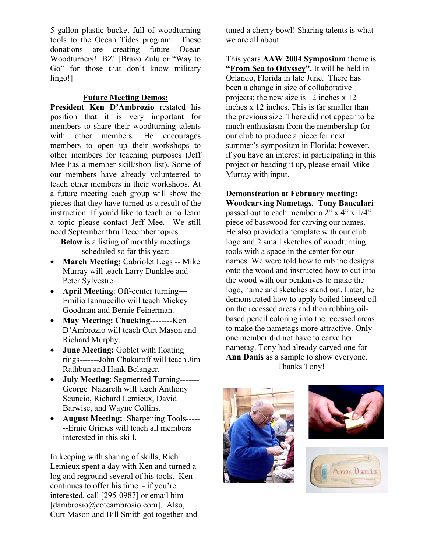5 gallon plastic bucket full of woodturning tools to the Ocean Tides program. These donations are creating future Ocean Woodturners! BZ! [Bravo Zulu or "Way to Go" for those that don't know military lingo!]

#### **Future Meeting Demos:**

**President Ken D'Ambrozio** restated his position that it is very important for members to share their woodturning talents with other members. He encourages members to open up their workshops to other members for teaching purposes (Jeff Mee has a member skill/shop list). Some of our members have already volunteered to teach other members in their workshops. At a future meeting each group will show the pieces that they have turned as a result of the instruction. If you'd like to teach or to learn a topic please contact Jeff Mee. We still need September thru December topics.

**Below** is a listing of monthly meetings scheduled so far this year:

- **March Meeting;** Cabriolet Legs -- Mike Murray will teach Larry Dunklee and Peter Sylvestre.
- **April Meeting**: Off-center turning— Emilio Iannuccillo will teach Mickey Goodman and Bernie Feinerman.
- **May Meeting: Chucking**--------Ken D'Ambrozio will teach Curt Mason and Richard Murphy.
- **June Meeting:** Goblet with floating rings-------John Chakuroff will teach Jim Rathbun and Hank Belanger.
- **July Meeting**: Segmented Turning------- George Nazareth will teach Anthony Scuncio, Richard Lemieux, David Barwise, and Wayne Collins.
- **August Meeting:** Sharpening Tools----- --Ernie Grimes will teach all members interested in this skill.

In keeping with sharing of skills, Rich Lemieux spent a day with Ken and turned a log and reground several of his tools. Ken continues to offer his time - if you're interested, call [295-0987] or email him [dambrosio@coteambrosio.com]. Also, Curt Mason and Bill Smith got together and tuned a cherry bowl! Sharing talents is what we are all about.

This years **AAW 2004 Symposium** theme is **"From Sea to Odyssey".** It will be held in Orlando, Florida in late June. There has been a change in size of collaborative projects; the new size is 12 inches x 12 inches x 12 inches. This is far smaller than the previous size. There did not appear to be much enthusiasm from the membership for our club to produce a piece for next summer's symposium in Florida; however, if you have an interest in participating in this project or heading it up, please email Mike Murray with input.

#### **Demonstration at February meeting: Woodcarving Nametags. Tony Bancalari**

passed out to each member a 2" x 4" x 1/4" piece of basswood for carving our names. He also provided a template with our club logo and 2 small sketches of woodturning tools with a space in the center for our names. We were told how to rub the designs onto the wood and instructed how to cut into the wood with our penknives to make the logo, name and sketches stand out. Later, he demonstrated how to apply boiled linseed oil on the recessed areas and then rubbing oilbased pencil coloring into the recessed areas to make the nametags more attractive. Only one member did not have to carve her nametag. Tony had already carved one for **Ann Danis** as a sample to show everyone. Thanks Tony!





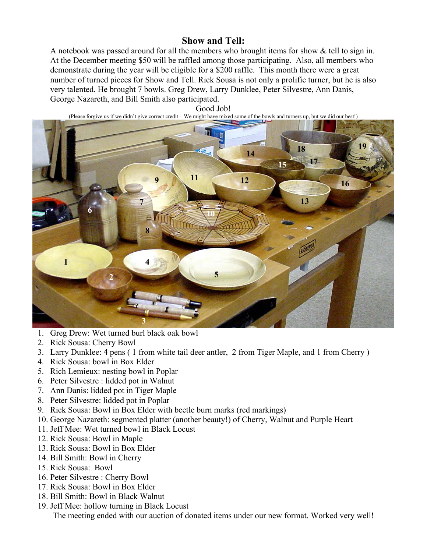### **Show and Tell:**

A notebook was passed around for all the members who brought items for show & tell to sign in. At the December meeting \$50 will be raffled among those participating. Also, all members who demonstrate during the year will be eligible for a \$200 raffle. This month there were a great number of turned pieces for Show and Tell. Rick Sousa is not only a prolific turner, but he is also very talented. He brought 7 bowls. Greg Drew, Larry Dunklee, Peter Silvestre, Ann Danis, George Nazareth, and Bill Smith also participated.

Good Job!

(Please forgive us if we didn't give correct credit – We might have mixed some of the bowls and turners up, but we did our best!) 14 18 19  $15 \frac{17}{2}$ **11** 12 12 16 **7 13 13 13 6** 10 **8 1 4 5 2 3** 

- 1. Greg Drew: Wet turned burl black oak bowl
- 2. Rick Sousa: Cherry Bowl
- 3. Larry Dunklee: 4 pens ( 1 from white tail deer antler, 2 from Tiger Maple, and 1 from Cherry )
- 4. Rick Sousa: bowl in Box Elder
- 5. Rich Lemieux: nesting bowl in Poplar
- 6. Peter Silvestre : lidded pot in Walnut
- 7. Ann Danis: lidded pot in Tiger Maple
- 8. Peter Silvestre: lidded pot in Poplar
- 9. Rick Sousa: Bowl in Box Elder with beetle burn marks (red markings)
- 10. George Nazareth: segmented platter (another beauty!) of Cherry, Walnut and Purple Heart
- 11. Jeff Mee: Wet turned bowl in Black Locust
- 12. Rick Sousa: Bowl in Maple
- 13. Rick Sousa: Bowl in Box Elder
- 14. Bill Smith: Bowl in Cherry
- 15. Rick Sousa: Bowl
- 16. Peter Silvestre : Cherry Bowl
- 17. Rick Sousa: Bowl in Box Elder
- 18. Bill Smith: Bowl in Black Walnut
- 19. Jeff Mee: hollow turning in Black Locust

The meeting ended with our auction of donated items under our new format. Worked very well!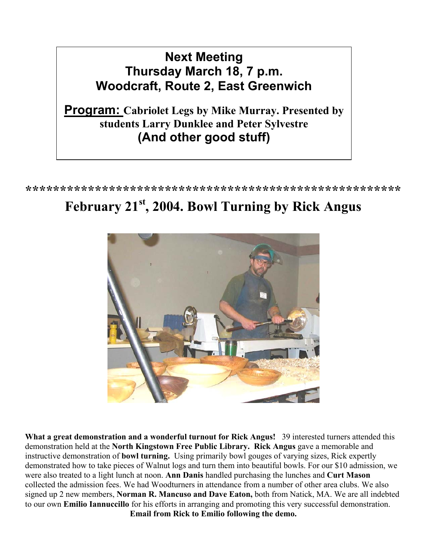## **Next Meeting Thursday March 18, 7 p.m. Woodcraft, Route 2, East Greenwich**

**Program: Cabriolet Legs by Mike Murray. Presented by students Larry Dunklee and Peter Sylvestre (And other good stuff)** 

**\*\*\*\*\*\*\*\*\*\*\*\*\*\*\*\*\*\*\*\*\*\*\*\*\*\*\*\*\*\*\*\*\*\*\*\*\*\*\*\*\*\*\*\*\*\*\*\*\*\*\*\*\*\*** 

# **February 21st, 2004. Bowl Turning by Rick Angus**



**What a great demonstration and a wonderful turnout for Rick Angus!** 39 interested turners attended this demonstration held at the **North Kingstown Free Public Library. Rick Angus** gave a memorable and instructive demonstration of **bowl turning.** Using primarily bowl gouges of varying sizes, Rick expertly demonstrated how to take pieces of Walnut logs and turn them into beautiful bowls. For our \$10 admission, we were also treated to a light lunch at noon. **Ann Danis** handled purchasing the lunches and **Curt Mason**  collected the admission fees. We had Woodturners in attendance from a number of other area clubs. We also signed up 2 new members, **Norman R. Mancuso and Dave Eaton,** both from Natick, MA. We are all indebted to our own **Emilio Iannuccillo** for his efforts in arranging and promoting this very successful demonstration. **Email from Rick to Emilio following the demo.**